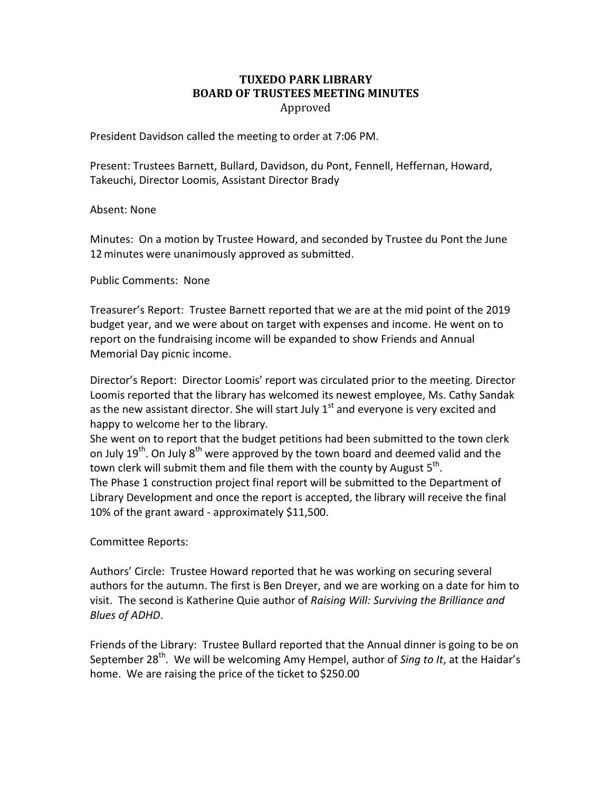## **TUXEDO PARK LIBRARY BOARD OF TRUSTEES MEETING MINUTES** Approved

President Davidson called the meeting to order at 7:06 PM.

Present: Trustees Barnett, Bullard, Davidson, du Pont, Fennell, Heffernan, Howard, Takeuchi, Director Loomis, Assistant Director Brady

Absent: None

Minutes: On a motion by Trustee Howard, and seconded by Trustee du Pont the June 12minutes were unanimously approved as submitted.

Public Comments: None

Treasurer's Report: Trustee Barnett reported that we are at the mid point of the 2019 budget year, and we were about on target with expenses and income. He went on to report on the fundraising income will be expanded to show Friends and Annual Memorial Day picnic income.

Director's Report: Director Loomis' report was circulated prior to the meeting. Director Loomis reported that the library has welcomed its newest employee, Ms. Cathy Sandak as the new assistant director. She will start July  $1<sup>st</sup>$  and everyone is very excited and happy to welcome her to the library.

She went on to report that the budget petitions had been submitted to the town clerk on July 19<sup>th</sup>. On July 8<sup>th</sup> were approved by the town board and deemed valid and the town clerk will submit them and file them with the county by August 5<sup>th</sup>. The Phase 1 construction project final report will be submitted to the Department of Library Development and once the report is accepted, the library will receive the final 10% of the grant award - approximately \$11,500.

Committee Reports:

Authors' Circle: Trustee Howard reported that he was working on securing several authors for the autumn. The first is Ben Dreyer, and we are working on a date for him to visit. The second is Katherine Quie author of *Raising Will: Surviving the Brilliance and Blues of ADHD*.

Friends of the Library: Trustee Bullard reported that the Annual dinner is going to be on September 28<sup>th</sup>. We will be welcoming Amy Hempel, author of *Sing to It*, at the Haidar's home. We are raising the price of the ticket to \$250.00